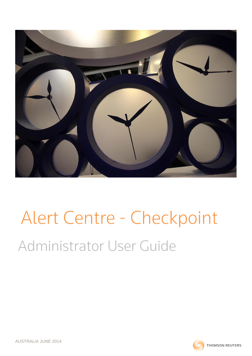

# Alert Centre - Checkpoint Administrator User Guide

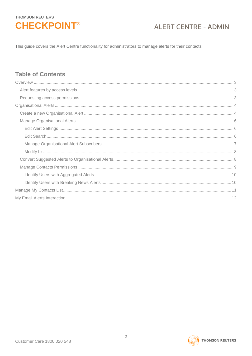This guide covers the Alert Centre functionality for administrators to manage alerts for their contacts.

## **Table of Contents**

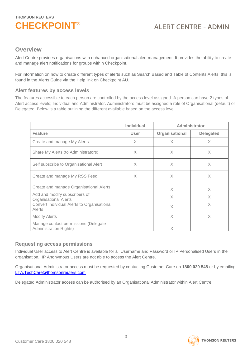### <span id="page-2-0"></span>**Overview**

Alert Centre provides organisations with enhanced organisational alert management. It provides the ability to create and manage alert notifications for groups within Checkpoint.

For information on how to create different types of alerts such as Search Based and Table of Contents Alerts, this is found in the Alerts Guide via the Help link on Checkpoint AU.

#### <span id="page-2-1"></span>**Alert features by access levels**

The features accessible to each person are controlled by the access level assigned. A person can have 2 types of Alert access levels; Individual and Administrator. Administrators must be assigned a role of Organisational (default) or Delegated. Below is a table outlining the different available based on the access level.

|                                                                       | <b>Individual</b> | Administrator  |                  |
|-----------------------------------------------------------------------|-------------------|----------------|------------------|
| <b>Feature</b>                                                        | User              | Organisational | <b>Delegated</b> |
| Create and manage My Alerts                                           | X                 | X              | X                |
| Share My Alerts (to Administrators)                                   | X                 | X              | X                |
| Self subscribe to Organisational Alert                                | X                 | X              | X                |
| Create and manage My RSS Feed                                         | X                 | X              | X                |
| Create and manage Organisational Alerts                               |                   | X              | $\times$         |
| Add and modify subscribers of<br><b>Organisational Alerts</b>         |                   | X              | X                |
| Convert Individual Alerts to Organisational<br>Alerts                 |                   | X              | X                |
| <b>Modify Alerts</b>                                                  |                   | $\times$       | X                |
| Manage contact permissions (Delegate<br><b>Administration Rights)</b> |                   | X              |                  |

#### <span id="page-2-2"></span>**Requesting access permissions**

Individual User access to Alert Centre is available for all Username and Password or IP Personalised Users in the organisation. IP Anonymous Users are not able to access the Alert Centre.

Organisational Administrator access must be requested by contacting Customer Care on **1800 020 548** or by emailing [LTA.TechCare@thomsonreuters.com](mailto:LTA.TechCare@thomsonreuters.com)

Delegated Administrator access can be authorised by an Organisational Administrator within Alert Centre.



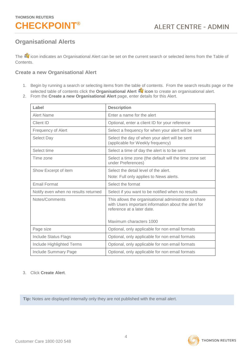

### <span id="page-3-0"></span>**Organisational Alerts**

The **indicates an Organisational Alert can be set on the current search or selected items from the Table of** Contents.

#### <span id="page-3-1"></span>**Create a new Organisational Alert**

- 1. Begin by running a search or selecting items from the table of contents. From the search results page or the selected table of contents click the **Organisational Alert icon** to create an organisational alert.
- 2. From the **Create a new Organisational Alert** page, enter details for this Alert.

| Label                                | <b>Description</b>                                                                                                                                                     |
|--------------------------------------|------------------------------------------------------------------------------------------------------------------------------------------------------------------------|
| Alert Name                           | Enter a name for the alert                                                                                                                                             |
| Client ID                            | Optional, enter a client ID for your reference                                                                                                                         |
| <b>Frequency of Alert</b>            | Select a frequency for when your alert will be sent                                                                                                                    |
| Select Day                           | Select the day of when your alert will be sent<br>(applicable for Weekly frequency)                                                                                    |
| Select time                          | Select a time of day the alert is to be sent                                                                                                                           |
| Time zone                            | Select a time zone (the default will the time zone set<br>under Preferences)                                                                                           |
| Show Excerpt of item                 | Select the detail level of the alert.                                                                                                                                  |
|                                      | Note: Full only applies to News alerts.                                                                                                                                |
| <b>Email Format</b>                  | Select the format                                                                                                                                                      |
| Notify even when no results returned | Select if you want to be notified when no results                                                                                                                      |
| Notes/Comments                       | This allows the organisational administrator to share<br>with Users important information about the alert for<br>reference at a later date.<br>Maximum characters 1000 |
|                                      |                                                                                                                                                                        |
| Page size                            | Optional, only applicable for non email formats                                                                                                                        |
| <b>Include Status Flags</b>          | Optional, only applicable for non email formats                                                                                                                        |
| Include Highlighted Terms            | Optional, only applicable for non email formats                                                                                                                        |
|                                      |                                                                                                                                                                        |

3. Click **Create Alert**.

**Tip:** Notes are displayed internally only they are not published with the email alert.

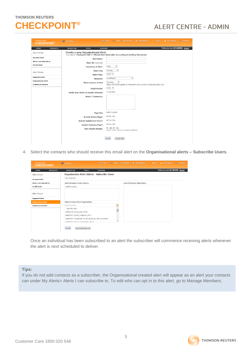# **ALERT CENTRE - ADMIN**

| <b>THOMSON REUTERS</b><br><b>CHECKPOINT</b> | <b>MAN AUSTRALIA</b><br>×                          | <b>IS HISTORY WE PREFERENCES</b><br><b>B</b> HELP <b>B</b> LINKS<br>ALERTS<br><b>P1 MY FOLDERS</b><br>$\mathbb{Z}^n$ CLIENT ID |
|---------------------------------------------|----------------------------------------------------|--------------------------------------------------------------------------------------------------------------------------------|
| <b>HOME</b><br><b>RESEARCH</b>              | <b>TOOLS</b><br><b>LEARNING</b><br><b>WORKFLOW</b> | Welcome back NJ ADMIN - logout                                                                                                 |
| <b>Alert Centre</b>                         | <b>Create a new Organisational Alert</b>           | Your search: Checkpoint ANZ for Filtered Alert (Australian Accounting & Auditing Standards)                                    |
| My email alerts                             | <b>Alert Name:</b>                                 |                                                                                                                                |
| Alerts I can subscribe to                   | Client ID (optional):                              |                                                                                                                                |
| <b>My RSS feeds</b>                         | <b>Frequency of Alert:</b>                         | ۷.<br>Daily                                                                                                                    |
|                                             | <b>Select Day</b>                                  | $\pmb{\mathrm{v}}$<br>Monday                                                                                                   |
| <b>Alert Centre</b>                         | Select time:                                       | $08:30$ $\blacktriangledown$                                                                                                   |
| <b>Suggested alerts</b>                     | <b>Timezone:</b>                                   | ۰.<br>Asia/Riyadh                                                                                                              |
| <b>Organisational alerts</b>                | Show excerpt of item                               | $\pmb{\mathrm{v}}$<br>Summary                                                                                                  |
| <b>Contacts permissions</b>                 |                                                    | Note: Full Article applies to Newsroom and Current Awareness alerts only                                                       |
|                                             | <b>Email Format:</b>                               | <b>HTML Y</b>                                                                                                                  |
|                                             | Notify even when no results returned:              | ● Yes ● No                                                                                                                     |
|                                             | <b>Notes / Comments:</b>                           |                                                                                                                                |
|                                             |                                                    |                                                                                                                                |
|                                             |                                                    |                                                                                                                                |
|                                             |                                                    |                                                                                                                                |
|                                             | <b>Page Size</b>                                   | <b>◎A4 ◎Letter</b>                                                                                                             |
|                                             | <b>Include Status Flags?</b>                       | <b>.</b> Yes ●No                                                                                                               |
|                                             | <b>Include Highlighted Terms?</b>                  | ⊙Yes ⊙No                                                                                                                       |
|                                             | <b>Include Summary Page?</b>                       | <b> ■</b> Yes ● No                                                                                                             |
|                                             | <b>Web Results Display:</b>                        | <b>ØXML</b> <sup><i>®</i></sup> RSS<br>Note: HTML output is always published.                                                  |
|                                             |                                                    |                                                                                                                                |
|                                             |                                                    | Cancel<br><b>Create Alert</b>                                                                                                  |

4. Select the contacts who should receive this email alert on the **Organisational alerts – Subscribe Users**.

| <b>THOMSON REUTERS</b><br><b>CHECKPOINT</b> | $\overline{\mathbb{C}}$ AUSTRALIA $\overline{\mathbb{C}}$ | <b>①</b> HELP © LINKS ● HISTORY   整 PREFERENCES < ALERTS ● MYFOLDERS ● CLIENTID |                                |
|---------------------------------------------|-----------------------------------------------------------|---------------------------------------------------------------------------------|--------------------------------|
| <b>HOME</b><br><b>RESEARCH</b>              | <b>TOOLS</b><br><b>WORKFLOW</b><br><b>LEARNING</b>        |                                                                                 | Welcome back NJ ADMIN - logout |
| Alert Centre                                | <b>Organisation Alert Admin - Subscribe Users</b>         |                                                                                 |                                |
| My email alerts                             | Test Org alert                                            |                                                                                 |                                |
| Alerts I can subscribe to                   | <b>Select Group to Limit Contacts</b>                     | <b>List of Selected Subscribers</b>                                             |                                |
| My RSS feeds                                | sudheer group                                             |                                                                                 |                                |
| <b>Alert Centre</b>                         |                                                           |                                                                                 |                                |
| <b>Suggested alerts</b>                     |                                                           |                                                                                 |                                |
| <b>Organisational alerts</b>                | <b>Select contacts from Organisation</b>                  |                                                                                 |                                |
| <b>Contacts permissions</b>                 | Search by name                                            |                                                                                 |                                |
|                                             | Subi No Alert                                             |                                                                                 |                                |
|                                             | 40083919, WLAU WF TEST                                    |                                                                                 |                                |
|                                             | 40087937, WLAU_FAMLAW_WF-1                                |                                                                                 |                                |
|                                             | 40087937 / 40085186, WLAU_FAMLAW_WF-2-LAWSOC              |                                                                                 |                                |
|                                             | ADDRESS WILL CONSISTENT WIE 4                             |                                                                                 |                                |
|                                             | Cancel<br>Save Subscriber List                            |                                                                                 |                                |

Once an individual has been subscribed to an alert the subscriber will commence receiving alerts whenever the alert is next scheduled to deliver.

#### **Tips:**

If you do not add contacts as a subscriber, the Organisational created alert will appear as an alert your contacts can under My Alerts> Alerts I can subscribe to. To edit who can opt in to this alert, go to Manage Members.

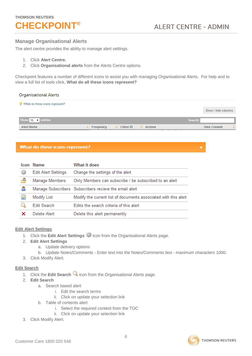# **CHECKPOINT®**

×

#### <span id="page-5-0"></span>**Manage Organisational Alerts**

The alert centre provides the ability to manage alert settings.

- 1. Click **Alert Centre.**
- 2. Click **Organisational alerts** from the Alerts Centre options.

Checkpoint features a number of different icons to assist you with managing Organisational Alerts. For help and to view a full list of tools click, **What do all these icons represent?**

#### **Organisational Alerts**

| What do these icons represent? |           |                      |                           |                           |
|--------------------------------|-----------|----------------------|---------------------------|---------------------------|
|                                |           |                      |                           | Show / hide columns       |
| Show $10 \rightarrow$ entries  |           |                      |                           | Search:                   |
| <b>Alert Name</b>              | Frequency | $\Diamond$ Client ID | $\Leftrightarrow$ Actions | <b>Date Created</b><br>÷. |

#### What do these icons represent?

|   | <b>Icon Name</b>           | What it does                                                    |
|---|----------------------------|-----------------------------------------------------------------|
| ₩ | <b>Edit Alert Settings</b> | Change the settings of the alert                                |
| 昏 | Manage Members             | Only Members can subscribe / be subscribed to an alert          |
| д |                            | Manage Subscribers Subscribers recieve the email alert          |
| À | Modify List                | Modify the current list of documents associated with this alert |
|   | <b>Edit Search</b>         | Edits the search criteria of this alert                         |
|   | Delete Alert               | Delete this alert permanently                                   |

#### <span id="page-5-1"></span>**Edit Alert Settings**

- 1. Click the **Edit Alert Settings in Eq. 1. Click the Edit Alerts** page.
- 2. **Edit Alert Settings**
	- a. Update delivery options
	- b. Update Notes/Comments Enter text into the Notes/Comments box maximum characters 1000.
- 3. Click Modify Alert.

#### <span id="page-5-2"></span>**Edit Search**

- 1. Click the **Edit Search Q** icon from the Organisational Alerts page.
- 2. **Edit Search**
	- a. Search based alert
		- i. Edit the search terms
		- ii. Click on update your selection link
	- b. Table of contents alert
		- i. Select the required content from the TOC
		- ii. Click on update your selection link
- 3. Click Modify Alert.

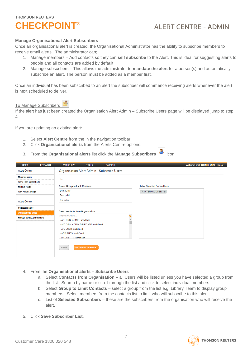#### <span id="page-6-0"></span>**Manage Organisational Alert Subscribers**

Once an organisational alert is created, the Organisational Administrator has the ability to subscribe members to receive email alerts. The administrator can;

- 1. Manage members Add contacts so they can **self subscribe** to the Alert. This is ideal for suggesting alerts to people and all contacts are added by default.
- 2. Manage subscribers This allows the administrator to **mandate the alert** for a person(s) and automatically subscribe an alert. The person must be added as a member first.

Once an individual has been subscribed to an alert the subscriber will commence receiving alerts whenever the alert is next scheduled to deliver.

To Manage Subscribers

If the alert has just been created the Organisation Alert Admin – Subscribe Users page will be displayed jump to step 4.

If you are updating an existing alert:

- 1. Select **Alert Centre** from the in the navigation toolbar.
- 2. Click **Organisational alerts** from the Alerts Centre options.
- 3. From the **Organisational alerts** list click the **Manage Subscribers** icon

| <b>HOME</b><br><b>RESEARCH</b>    | <b>TOOLS</b><br><b>LEARNING</b><br><b>WORKFLOW</b> | Welcome back TR INTERNAL - logout   |
|-----------------------------------|----------------------------------------------------|-------------------------------------|
| <b>Alert Centre</b>               | Organisation Alert Admin - Subscribe Users         |                                     |
| My email alerts                   | abc                                                |                                     |
| Alerts I can subscribe to         |                                                    |                                     |
| My RSS feeds                      | <b>Select Group to Limit Contacts</b>              | <b>List of Selected Subscribers</b> |
| <b>Alert News Settings</b>        | DemoGrop                                           | TR INTERNAL USER 124                |
|                                   | Test public                                        |                                     |
| <b>Alert Centre</b>               | <b>Vic Sales</b>                                   |                                     |
| <b>Suggested alerts</b>           |                                                    |                                     |
| <b>Organisational alerts</b>      | <b>Select contacts from Organisation</b>           |                                     |
| <b>Manage contact permissions</b> | Search by name<br>ര                                |                                     |
|                                   | - A/C ORG. ADMIN, undefined                        |                                     |
|                                   | - A/C ORG. ADMIN DELEGATE, undefined               |                                     |
|                                   | - A/C USER, undefined                              |                                     |
|                                   | - ADD SUBS, undefined                              |                                     |
|                                   | - MY ALERTS undefined                              |                                     |
|                                   | <b>SAVE SUBSCRIBER LIST</b><br>CANCEL              |                                     |

- 4. From the **Organisational alerts – Subscribe Users**
	- a. Select **Contacts from Organisation** all Users will be listed unless you have selected a group from the list. Search by name or scroll through the list and click to select individual members
	- b. Select **Group to Limit Contacts** select a group from the list e.g. Library Team to display group members. Select members from the contacts list to limit who will subscribe to this alert.
	- c. List of **Selected Subscribers** these are the subscribers from the organisation who will receive the alert.
- 5. Click **Save Subscriber List**.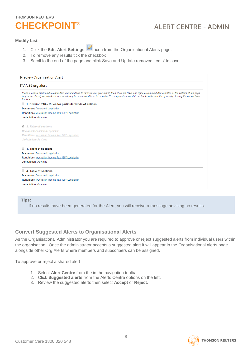#### <span id="page-7-0"></span>**Modify List**

- 1. Click the **Edit Alert Settings** icon from the Organisational Alerts page.
- 2. To remove any results tick the checkbox
- 3. Scroll to the end of the page and click Save and Update removed items' to save.

| <b>Preview Organisation Alert</b>                                                                                                                                                                                                                                                                                                         |  |
|-------------------------------------------------------------------------------------------------------------------------------------------------------------------------------------------------------------------------------------------------------------------------------------------------------------------------------------------|--|
| ITAA 36 org alert                                                                                                                                                                                                                                                                                                                         |  |
| Place a check mark next to each item you would like to remove from your result, then click the Save and Update Removed Items button at the bottom of the page.<br>Any items already checked below have already been removed from the results. You may add removed items back to the results by simply clearing the check from<br>the box. |  |
| U<br>1. Division 713 – Rules for particular kinds of entities                                                                                                                                                                                                                                                                             |  |
| <b>Document: Annotated Legislation</b>                                                                                                                                                                                                                                                                                                    |  |
| Renditions: Australian Income Tax 1997 Legislation                                                                                                                                                                                                                                                                                        |  |
| Jurisdiction: Australia                                                                                                                                                                                                                                                                                                                   |  |
| 2. Table of sections                                                                                                                                                                                                                                                                                                                      |  |
| <b>Document: Annotated Legislation</b>                                                                                                                                                                                                                                                                                                    |  |
| Renditions: Australian Income Tax 1997 Legislation                                                                                                                                                                                                                                                                                        |  |
| <b>Jurisdiction: Australia</b>                                                                                                                                                                                                                                                                                                            |  |
| 3. Table of sections                                                                                                                                                                                                                                                                                                                      |  |
| <b>Document: Annotated Legislation</b>                                                                                                                                                                                                                                                                                                    |  |
| Renditions: Australian Income Tax 1997 Legislation                                                                                                                                                                                                                                                                                        |  |
| Jurisdiction: Australia                                                                                                                                                                                                                                                                                                                   |  |
| 4. Table of sections                                                                                                                                                                                                                                                                                                                      |  |
| <b>Document: Annotated Legislation</b>                                                                                                                                                                                                                                                                                                    |  |
| Renditions: Australian Income Tax 1997 Legislation                                                                                                                                                                                                                                                                                        |  |
| Jurisdiction: Australia                                                                                                                                                                                                                                                                                                                   |  |

#### **Tips:**

If no results have been generated for the Alert, you will receive a message advising no results.

#### <span id="page-7-1"></span>**Convert Suggested Alerts to Organisational Alerts**

As the Organisational Administrator you are required to approve or reject suggested alerts from individual users within the organisation. Once the administrator accepts a suggested alert it will appear in the Organisational alerts page alongside other Org Alerts where members and subscribers can be assigned.

#### To approve or reject a shared alert

- 1. Select **Alert Centre** from the in the navigation toolbar.
- 2. Click **Suggested alerts** from the Alerts Centre options on the left.
- 3. Review the suggested alerts then select **Accept** or **Reject**.

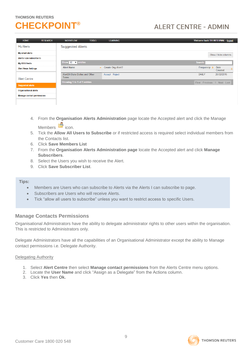# **CHECKPOINT®**

# **ALERT CENTRE - ADMIN**

| <b>HOME</b>                       | <b>RESEARCH</b> | <b>WORKFLOW</b>                         | <b>TOOLS</b> | <b>LEARNING</b>          |  | Welcome back TR INTERNAL - logout |                     |  |
|-----------------------------------|-----------------|-----------------------------------------|--------------|--------------------------|--|-----------------------------------|---------------------|--|
| My Alerts                         |                 | <b>Suggested Alerts</b>                 |              |                          |  |                                   |                     |  |
| My email alerts                   |                 |                                         |              |                          |  |                                   | Show / hide columns |  |
| Alerts I can subscribe to         |                 |                                         |              |                          |  |                                   |                     |  |
| My RSS feeds                      |                 | Show $10 \rightarrow$ entries           |              |                          |  | Search:                           |                     |  |
| <b>Alert News Settings</b>        |                 | <b>Alert Name</b>                       | ᇫ            | <b>Create Org Alert?</b> |  | Frequency $\Diamond$              | Date<br>Created     |  |
| <b>Alert Centre</b>               |                 | Alert24-State Duties and Other<br>Taxes |              | Accept Reject            |  | <b>DAILY</b>                      | 26/02/2015          |  |
|                                   |                 | Showing 1 to 1 of 1 entries             |              |                          |  | First Previous 1 Next Last        |                     |  |
| <b>Suggested alerts</b>           |                 |                                         |              |                          |  |                                   |                     |  |
| <b>Organisational alerts</b>      |                 |                                         |              |                          |  |                                   |                     |  |
| <b>Manage contact permissions</b> |                 |                                         |              |                          |  |                                   |                     |  |
|                                   |                 |                                         |              |                          |  |                                   |                     |  |

- 4. From the **Organisation Alerts Administration** page locate the Accepted alert and click the Manage Members  $\blacksquare$  icon.
- 5. Tick the **Allow All Users to Subscribe** or if restricted access is required select individual members from the Contacts list.
- 6. Click **Save Members List**
- 7. From the **Organisation Alerts Administration page** locate the Accepted alert and click **Manage Subscribers**.
- 8. Select the Users you wish to receive the Alert.
- 9. Click **Save Subscriber List**.

#### **Tips:**

- Members are Users who can subscribe to Alerts via the Alerts I can subscribe to page.
- Subscribers are Users who will receive Alerts.
- Tick "allow all users to subscribe" unless you want to restrict access to specific Users.

#### <span id="page-8-0"></span>**Manage Contacts Permissions**

Organisational Administrators have the ability to delegate administrator rights to other users within the organisation. This is restricted to Administrators only.

Delegate Administrators have all the capabilities of an Organisational Administrator except the ability to Manage contact permissions i.e. Delegate Authority.

#### Delegating Authority

- 1. Select **Alert Centre** then select **Manage contact permissions** from the Alerts Centre menu options.
- 2. Locate the **User Name** and click "Assign as a Delegate" from the Actions column.
- 3. Click **Yes** then **Ok.**



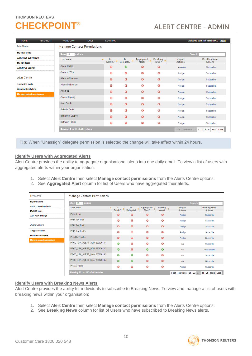# **CHECKPOINT®**

# **ALERT CENTRE - ADMIN**

| <b>HOME</b>                       | <b>RESEARCH</b> | <b>WORKFLOW</b>                   | <b>TOOLS</b>     | <b>LEARNING</b> |                  |                              |            |                | Welcome back TR INTERNAL - loqout |
|-----------------------------------|-----------------|-----------------------------------|------------------|-----------------|------------------|------------------------------|------------|----------------|-----------------------------------|
| My Alerts                         |                 | <b>Manage Contact Permissions</b> |                  |                 |                  |                              |            |                |                                   |
| My email alerts                   |                 | Show 10 v entries                 |                  |                 |                  |                              |            | Search:        |                                   |
| Alerts I can subscribe to         |                 | User name                         | $\blacktriangle$ | ls.<br>¢        | Is<br>$\Diamond$ | Aggregated $\Leftrightarrow$ | Breaking 2 | Delegate       | <b>Breaking News</b>              |
| My RSS feeds                      |                 |                                   |                  | Admin?          | Delegate?        | Alert?                       | News?      | <b>Actions</b> | <b>Actions</b>                    |
| <b>Alert News Settings</b>        |                 | <b>Adam Dallas</b>                |                  | $\odot$         | $\bullet$        | $\odot$                      | $\odot$    | Unassign       | Subscribe                         |
|                                   |                 | Adam J. Weir                      |                  | ☺               | 0                | ☺                            | $\bf G$    | Assign         | Subscribe                         |
| <b>Alert Centre</b>               |                 | Alana Williamson                  |                  | $\odot$         | $\odot$          | $\odot$                      | $\odot$    | Assign         | Subscribe                         |
| <b>Suggested alerts</b>           |                 | Alison McLennan                   |                  | ☺               | $\odot$          | ☺                            | $\odot$    | Assign         | Subscribe                         |
| <b>Organisational alerts</b>      |                 | Ana Fitz                          |                  | ☺               | $\odot$          | $\odot$                      | $\odot$    | Assign         | Subscribe                         |
| <b>Manage contact permissions</b> |                 | Angela Irrgang                    |                  | ☺               | $\bf{O}$         | ☺                            | ☺          | Assign         | Subscribe                         |
|                                   |                 | Aryn Franks                       |                  | $\odot$         | $\odot$          | $\odot$                      | $\odot$    | Assign         | Subscribe                         |
|                                   |                 | <b>Belinda Drake</b>              |                  | ☺               | $\bf{O}$         | $\bf{O}$                     | $\odot$    | Assign         | Subscribe                         |
|                                   |                 | <b>Benjamin Loupos</b>            |                  | $\odot$         | $\odot$          | $\odot$                      | $\odot$    | Assign         | Subscribe                         |
|                                   |                 | <b>Bethany Tasker</b>             |                  | ☺               | $\bf{O}$         | $\bf{O}$                     | ☺          | Assign         | Subscribe                         |
|                                   |                 | Showing 1 to 10 of 483 entries    |                  |                 |                  |                              |            | First Previous | 4 5 Next Last<br>$2 \mid 3 \mid$  |

**Tip:** When "Unassign" delegate permission is selected the change will take effect within 24 hours.

#### <span id="page-9-0"></span>**Identify Users with Aggregated Alerts**

Alert Centre provides the ability to aggregate organisational alerts into one daily email. To view a list of users with aggregated alerts within your organisation.

- 1. Select **Alert Centre** then select **Manage contact permissions** from the Alerts Centre options.
- 2. See **Aggregated Alert** column for list of Users who have aggregated their alerts.

| <b>My Alerts</b>                  | <b>Manage Contact Permissions</b> |                   |                     |                       |              |                   |                          |  |  |
|-----------------------------------|-----------------------------------|-------------------|---------------------|-----------------------|--------------|-------------------|--------------------------|--|--|
| My email alerts                   | Show $10 - 7$ entries             |                   |                     |                       |              | Search:           |                          |  |  |
| Alerts I can subscribe to         | User name<br>$\Delta$             | $\vert$ s         | <b>Is</b>           | Aggregated $\Diamond$ | Breaking c   | Delegate          | <b>Breaking News</b>     |  |  |
| <b>My RSS feeds</b>               |                                   | Admin? $\Diamond$ | Delegate? $\hat{z}$ | Alert?                | News?        | <b>Actions</b>    | <b>Actions</b>           |  |  |
| <b>Alert News Settings</b>        | Pollard Tim                       | $\odot$           | $\bm{\bm{\odot}}$   | $\odot$               | $\odot$      | Assign            | Subscribe                |  |  |
|                                   | PPM Tax Trial 1                   | $\odot$           | ☺                   | $\odot$               | $\odot$      | Assign            | Subscribe                |  |  |
| <b>Alert Centre</b>               | <b>PPM Tax Trial 2</b>            | $\odot$           | $\odot$             | $\odot$               | $\odot$      | Assign            | Subscribe                |  |  |
| <b>Suggested alerts</b>           | PPM Tax Trial 3                   | $\odot$           | $\bf{O}$            | $\bf{O}$              | $\odot$      | Assign            | Subscribe                |  |  |
| <b>Organisational alerts</b>      | Prajakta Phadke                   | $\odot$           | $\odot$             | $\odot$               | $\odot$      | Assign            | Subscribe                |  |  |
| <b>Manage contact permissions</b> | PROD LRA ALERT ADM 25082014-1     | $\odot$           | $\bm{\odot}$        | $\bm{\odot}$          | $\bm{\odot}$ | n/a               | Subscribe                |  |  |
|                                   |                                   |                   |                     |                       |              |                   |                          |  |  |
|                                   | PROD LRA ALERT ADM 25082014-2     | $\bullet$         | $\odot$             | $\bullet$             | $\bullet$    | n/a               | Unsubscribe              |  |  |
|                                   | PROD_LRA_ALERT_MAN 25082014-3     | $\odot$           | $\odot$             | $\odot$               | $\odot$      | n/a               | Subscribe                |  |  |
|                                   | PROD LRA ALERT MAN 25082014-4     | $\bullet$         | $\bullet$           | $\odot$               | $\odot$      | n/a               | Subscribe                |  |  |
|                                   | <b>Prossor Fiona</b>              | $\bf{O}$          | $\bf \odot$         | $\bf \odot$           | $\bf \odot$  | Assign            | Subscribe                |  |  |
|                                   | Showing 221 to 230 of 483 entries |                   |                     |                       |              | First<br>Previous | 21 22 23 24 25 Next Last |  |  |

#### <span id="page-9-1"></span>**Identify Users with Breaking News Alerts**

Alert Centre provides the ability for individuals to subscribe to Breaking News. To view and manage a list of users with breaking news within your organisation;

- 1. Select **Alert Centre** then select **Manage contact permissions** from the Alerts Centre options.
- 2. See **Breaking News** column for list of Users who have subscribed to Breaking News alerts.

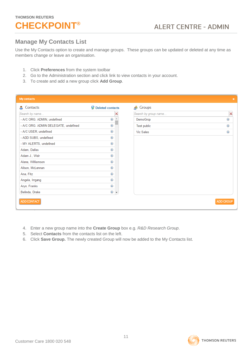### <span id="page-10-0"></span>**Manage My Contacts List**

Use the My Contacts option to create and manage groups. These groups can be updated or deleted at any time as members change or leave an organisation.

- 1. Click **Preferences** from the system toolbar
- 2. Go to the Administration section and click link to view contacts in your account.
- 3. To create and add a new group click **Add Group**.

| <b>My contacts</b>                   |                         |                      | $\pmb{\times}$   |
|--------------------------------------|-------------------------|----------------------|------------------|
| Contacts<br>д                        | <b>Deleted contacts</b> | Groups<br>æ          |                  |
| Search by name                       |                         | Search by group name | ×                |
| - A/C ORG. ADMIN, undefined          | ⊙                       | DemoGrop             | ◑                |
| - A/C ORG. ADMIN DELEGATE, undefined | $\circled{1}$           | Test public          | $\mathbf{u}$     |
| - A/C USER, undefined                | ⊙                       | <b>Vic Sales</b>     | ⊕                |
| - ADD SUBS, undefined                | ⊙                       |                      |                  |
| - MY ALERTS, undefined               | ⊙                       |                      |                  |
| Adam, Dallas                         | $\circledast$           |                      |                  |
| Adam J., Weir                        | $\circledast$           |                      |                  |
| Alana, Williamson                    | $\circledast$           |                      |                  |
| Alison, McLennan                     | ⊙                       |                      |                  |
| Ana, Fitz                            | $\circledast$           |                      |                  |
| Angela, Irrgang                      | $\circledcirc$          |                      |                  |
| Aryn, Franks                         | ⊙                       |                      |                  |
| Belinda, Drake                       | $\circledcirc$ +        |                      |                  |
| ADD CONTACT                          |                         |                      | <b>ADD GROUP</b> |

- 4. Enter a new group name into the **Create Group** box e.g. *R&D Research Group*.
- 5. Select **Contacts** from the contacts list on the left.
- 6. Click **Save Group.** The newly created Group will now be added to the My Contacts list.